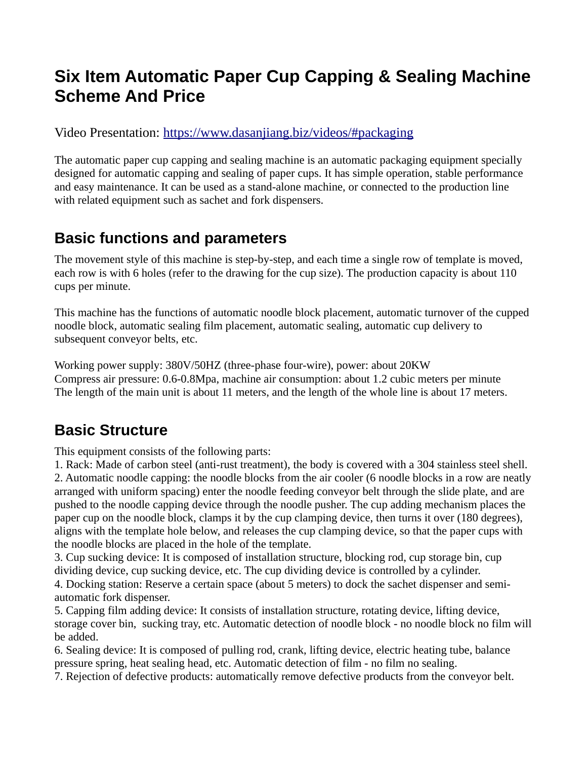## **Six Item Automatic Paper Cup Capping & Sealing Machine Scheme And Price**

Video Presentation:<https://www.dasanjiang.biz/videos/#packaging>

The automatic paper cup capping and sealing machine is an automatic packaging equipment specially designed for automatic capping and sealing of paper cups. It has simple operation, stable performance and easy maintenance. It can be used as a stand-alone machine, or connected to the production line with related equipment such as sachet and fork dispensers.

## **Basic functions and parameters**

The movement style of this machine is step-by-step, and each time a single row of template is moved, each row is with 6 holes (refer to the drawing for the cup size). The production capacity is about 110 cups per minute.

This machine has the functions of automatic noodle block placement, automatic turnover of the cupped noodle block, automatic sealing film placement, automatic sealing, automatic cup delivery to subsequent conveyor belts, etc.

Working power supply: 380V/50HZ (three-phase four-wire), power: about 20KW Compress air pressure: 0.6-0.8Mpa, machine air consumption: about 1.2 cubic meters per minute The length of the main unit is about 11 meters, and the length of the whole line is about 17 meters.

## **Basic Structure**

This equipment consists of the following parts:

1. Rack: Made of carbon steel (anti-rust treatment), the body is covered with a 304 stainless steel shell. 2. Automatic noodle capping: the noodle blocks from the air cooler (6 noodle blocks in a row are neatly arranged with uniform spacing) enter the noodle feeding conveyor belt through the slide plate, and are pushed to the noodle capping device through the noodle pusher. The cup adding mechanism places the paper cup on the noodle block, clamps it by the cup clamping device, then turns it over (180 degrees), aligns with the template hole below, and releases the cup clamping device, so that the paper cups with the noodle blocks are placed in the hole of the template.

3. Cup sucking device: It is composed of installation structure, blocking rod, cup storage bin, cup dividing device, cup sucking device, etc. The cup dividing device is controlled by a cylinder.

4. Docking station: Reserve a certain space (about 5 meters) to dock the sachet dispenser and semiautomatic fork dispenser.

5. Capping film adding device: It consists of installation structure, rotating device, lifting device, storage cover bin, sucking tray, etc. Automatic detection of noodle block - no noodle block no film will be added.

6. Sealing device: It is composed of pulling rod, crank, lifting device, electric heating tube, balance pressure spring, heat sealing head, etc. Automatic detection of film - no film no sealing.

7. Rejection of defective products: automatically remove defective products from the conveyor belt.